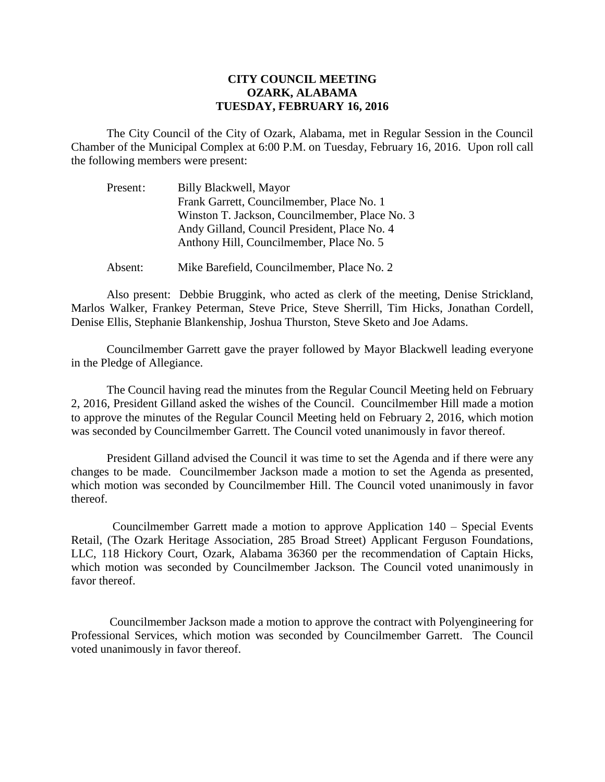## **CITY COUNCIL MEETING OZARK, ALABAMA TUESDAY, FEBRUARY 16, 2016**

The City Council of the City of Ozark, Alabama, met in Regular Session in the Council Chamber of the Municipal Complex at 6:00 P.M. on Tuesday, February 16, 2016. Upon roll call the following members were present:

| Present: | Billy Blackwell, Mayor                         |
|----------|------------------------------------------------|
|          | Frank Garrett, Councilmember, Place No. 1      |
|          | Winston T. Jackson, Councilmember, Place No. 3 |
|          | Andy Gilland, Council President, Place No. 4   |
|          | Anthony Hill, Councilmember, Place No. 5       |
|          |                                                |

Absent: Mike Barefield, Councilmember, Place No. 2

Also present: Debbie Bruggink, who acted as clerk of the meeting, Denise Strickland, Marlos Walker, Frankey Peterman, Steve Price, Steve Sherrill, Tim Hicks, Jonathan Cordell, Denise Ellis, Stephanie Blankenship, Joshua Thurston, Steve Sketo and Joe Adams.

Councilmember Garrett gave the prayer followed by Mayor Blackwell leading everyone in the Pledge of Allegiance.

The Council having read the minutes from the Regular Council Meeting held on February 2, 2016, President Gilland asked the wishes of the Council. Councilmember Hill made a motion to approve the minutes of the Regular Council Meeting held on February 2, 2016, which motion was seconded by Councilmember Garrett. The Council voted unanimously in favor thereof.

President Gilland advised the Council it was time to set the Agenda and if there were any changes to be made. Councilmember Jackson made a motion to set the Agenda as presented, which motion was seconded by Councilmember Hill. The Council voted unanimously in favor thereof.

 Councilmember Garrett made a motion to approve Application 140 – Special Events Retail, (The Ozark Heritage Association, 285 Broad Street) Applicant Ferguson Foundations, LLC, 118 Hickory Court, Ozark, Alabama 36360 per the recommendation of Captain Hicks, which motion was seconded by Councilmember Jackson. The Council voted unanimously in favor thereof.

 Councilmember Jackson made a motion to approve the contract with Polyengineering for Professional Services, which motion was seconded by Councilmember Garrett. The Council voted unanimously in favor thereof.